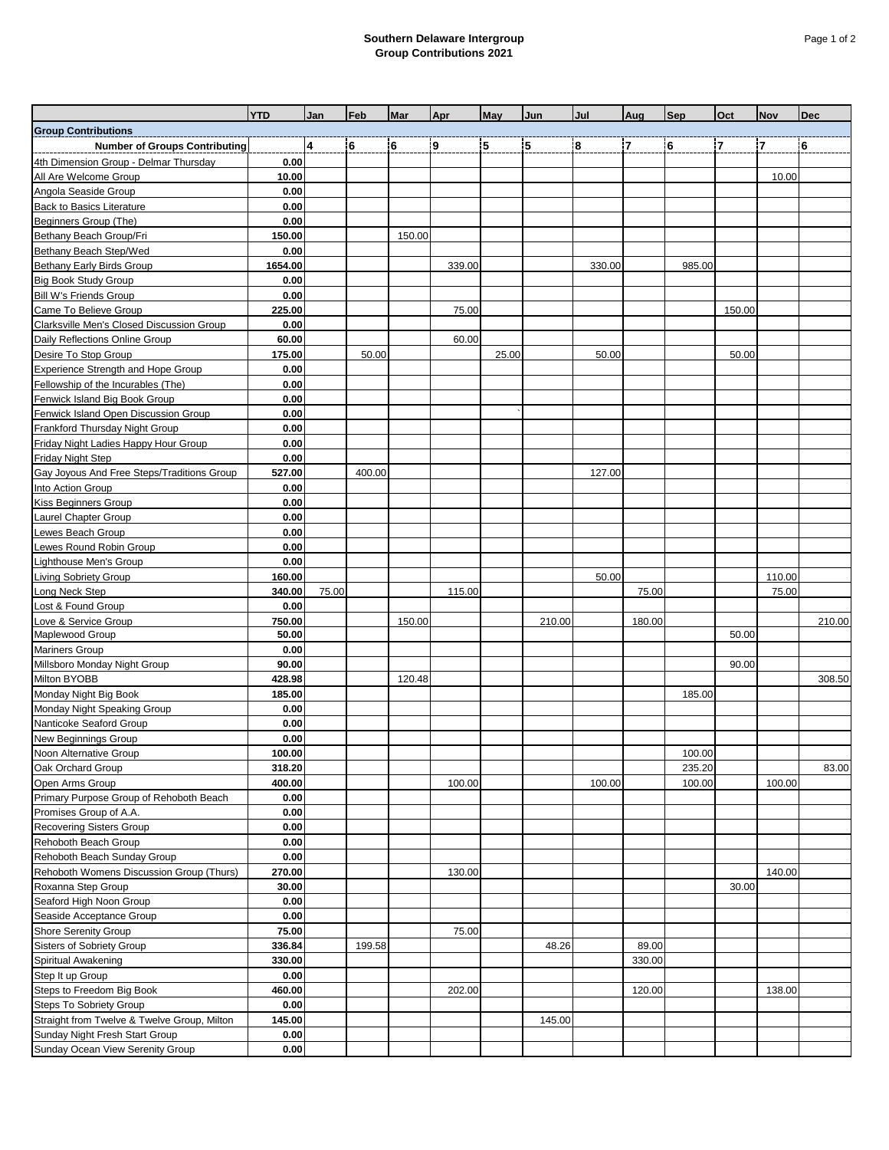## **Southern Delaware Intergroup Group Contributions 2021**

|                                                                               | <b>YTD</b> | Jan   | Feb    | Mar    | Apr    | May   | Jun    | Jul    | Aug            | <b>Sep</b> | Oct            | <b>Nov</b>     | <b>Dec</b> |
|-------------------------------------------------------------------------------|------------|-------|--------|--------|--------|-------|--------|--------|----------------|------------|----------------|----------------|------------|
| <b>Group Contributions</b>                                                    |            |       |        |        |        |       |        |        |                |            |                |                |            |
|                                                                               |            | 4     | 6      | 6      | 9      | 5     | 5      | 8      | $\overline{7}$ | 6          | $\overline{7}$ | $\overline{7}$ | 6          |
| <b>Number of Groups Contributing</b><br>4th Dimension Group - Delmar Thursday | 0.00       |       |        |        |        |       |        |        |                |            |                |                |            |
| All Are Welcome Group                                                         | 10.00      |       |        |        |        |       |        |        |                |            |                | 10.00          |            |
| Angola Seaside Group                                                          | 0.00       |       |        |        |        |       |        |        |                |            |                |                |            |
| <b>Back to Basics Literature</b>                                              | 0.00       |       |        |        |        |       |        |        |                |            |                |                |            |
| Beginners Group (The)                                                         | 0.00       |       |        |        |        |       |        |        |                |            |                |                |            |
| Bethany Beach Group/Fri                                                       | 150.00     |       |        | 150.00 |        |       |        |        |                |            |                |                |            |
| Bethany Beach Step/Wed                                                        | 0.00       |       |        |        |        |       |        |        |                |            |                |                |            |
| Bethany Early Birds Group                                                     | 1654.00    |       |        |        | 339.00 |       |        | 330.00 |                | 985.00     |                |                |            |
| <b>Big Book Study Group</b>                                                   | 0.00       |       |        |        |        |       |        |        |                |            |                |                |            |
| <b>Bill W's Friends Group</b>                                                 | 0.00       |       |        |        |        |       |        |        |                |            |                |                |            |
| Came To Believe Group                                                         | 225.00     |       |        |        | 75.00  |       |        |        |                |            | 150.00         |                |            |
| Clarksville Men's Closed Discussion Group                                     | 0.00       |       |        |        |        |       |        |        |                |            |                |                |            |
| Daily Reflections Online Group                                                | 60.00      |       |        |        | 60.00  |       |        |        |                |            |                |                |            |
| Desire To Stop Group                                                          | 175.00     |       | 50.00  |        |        | 25.00 |        | 50.00  |                |            | 50.00          |                |            |
| <b>Experience Strength and Hope Group</b>                                     | 0.00       |       |        |        |        |       |        |        |                |            |                |                |            |
| Fellowship of the Incurables (The)                                            | 0.00       |       |        |        |        |       |        |        |                |            |                |                |            |
| Fenwick Island Big Book Group                                                 | 0.00       |       |        |        |        |       |        |        |                |            |                |                |            |
| Fenwick Island Open Discussion Group                                          | 0.00       |       |        |        |        |       |        |        |                |            |                |                |            |
| Frankford Thursday Night Group                                                | 0.00       |       |        |        |        |       |        |        |                |            |                |                |            |
| Friday Night Ladies Happy Hour Group                                          | 0.00       |       |        |        |        |       |        |        |                |            |                |                |            |
| <b>Friday Night Step</b>                                                      | 0.00       |       |        |        |        |       |        |        |                |            |                |                |            |
| Gay Joyous And Free Steps/Traditions Group                                    | 527.00     |       | 400.00 |        |        |       |        | 127.00 |                |            |                |                |            |
| Into Action Group                                                             | 0.00       |       |        |        |        |       |        |        |                |            |                |                |            |
| <b>Kiss Beginners Group</b>                                                   | 0.00       |       |        |        |        |       |        |        |                |            |                |                |            |
| Laurel Chapter Group                                                          | 0.00       |       |        |        |        |       |        |        |                |            |                |                |            |
| Lewes Beach Group                                                             | 0.00       |       |        |        |        |       |        |        |                |            |                |                |            |
| Lewes Round Robin Group                                                       | 0.00       |       |        |        |        |       |        |        |                |            |                |                |            |
| Lighthouse Men's Group                                                        | 0.00       |       |        |        |        |       |        |        |                |            |                |                |            |
| <b>Living Sobriety Group</b>                                                  | 160.00     |       |        |        |        |       |        | 50.00  |                |            |                | 110.00         |            |
| Long Neck Step                                                                | 340.00     | 75.00 |        |        | 115.00 |       |        |        | 75.00          |            |                | 75.00          |            |
| Lost & Found Group                                                            | 0.00       |       |        |        |        |       |        |        |                |            |                |                |            |
| Love & Service Group                                                          | 750.00     |       |        | 150.00 |        |       | 210.00 |        | 180.00         |            |                |                | 210.00     |
| Maplewood Group                                                               | 50.00      |       |        |        |        |       |        |        |                |            | 50.00          |                |            |
| <b>Mariners Group</b>                                                         | 0.00       |       |        |        |        |       |        |        |                |            |                |                |            |
| Millsboro Monday Night Group                                                  | 90.00      |       |        |        |        |       |        |        |                |            | 90.00          |                |            |
| Milton BYOBB                                                                  | 428.98     |       |        | 120.48 |        |       |        |        |                |            |                |                | 308.50     |
| Monday Night Big Book                                                         | 185.00     |       |        |        |        |       |        |        |                | 185.00     |                |                |            |
| Monday Night Speaking Group                                                   | 0.00       |       |        |        |        |       |        |        |                |            |                |                |            |
| Nanticoke Seaford Group                                                       | 0.00       |       |        |        |        |       |        |        |                |            |                |                |            |
| New Beginnings Group                                                          | 0.00       |       |        |        |        |       |        |        |                |            |                |                |            |
| Noon Alternative Group                                                        | 100.00     |       |        |        |        |       |        |        |                | 100.00     |                |                |            |
| Oak Orchard Group                                                             | 318.20     |       |        |        |        |       |        |        |                | 235.20     |                |                | 83.00      |
| Open Arms Group                                                               | 400.00     |       |        |        | 100.00 |       |        | 100.00 |                | 100.00     |                | 100.00         |            |
| Primary Purpose Group of Rehoboth Beach                                       | 0.00       |       |        |        |        |       |        |        |                |            |                |                |            |
| Promises Group of A.A.                                                        | 0.00       |       |        |        |        |       |        |        |                |            |                |                |            |
| <b>Recovering Sisters Group</b>                                               | 0.00       |       |        |        |        |       |        |        |                |            |                |                |            |
| Rehoboth Beach Group                                                          | 0.00       |       |        |        |        |       |        |        |                |            |                |                |            |
| Rehoboth Beach Sunday Group                                                   | 0.00       |       |        |        |        |       |        |        |                |            |                |                |            |
| Rehoboth Womens Discussion Group (Thurs)                                      | 270.00     |       |        |        | 130.00 |       |        |        |                |            |                | 140.00         |            |
| Roxanna Step Group                                                            | 30.00      |       |        |        |        |       |        |        |                |            | 30.00          |                |            |
| Seaford High Noon Group                                                       | 0.00       |       |        |        |        |       |        |        |                |            |                |                |            |
| Seaside Acceptance Group                                                      | 0.00       |       |        |        |        |       |        |        |                |            |                |                |            |
| <b>Shore Serenity Group</b>                                                   | 75.00      |       |        |        | 75.00  |       |        |        |                |            |                |                |            |
| Sisters of Sobriety Group                                                     | 336.84     |       | 199.58 |        |        |       | 48.26  |        | 89.00          |            |                |                |            |
| Spiritual Awakening                                                           | 330.00     |       |        |        |        |       |        |        | 330.00         |            |                |                |            |
| Step It up Group                                                              | 0.00       |       |        |        |        |       |        |        |                |            |                |                |            |
| Steps to Freedom Big Book                                                     | 460.00     |       |        |        | 202.00 |       |        |        | 120.00         |            |                | 138.00         |            |
| <b>Steps To Sobriety Group</b>                                                | 0.00       |       |        |        |        |       |        |        |                |            |                |                |            |
| Straight from Twelve & Twelve Group, Milton                                   | 145.00     |       |        |        |        |       | 145.00 |        |                |            |                |                |            |
| Sunday Night Fresh Start Group                                                | 0.00       |       |        |        |        |       |        |        |                |            |                |                |            |
| Sunday Ocean View Serenity Group                                              | 0.00       |       |        |        |        |       |        |        |                |            |                |                |            |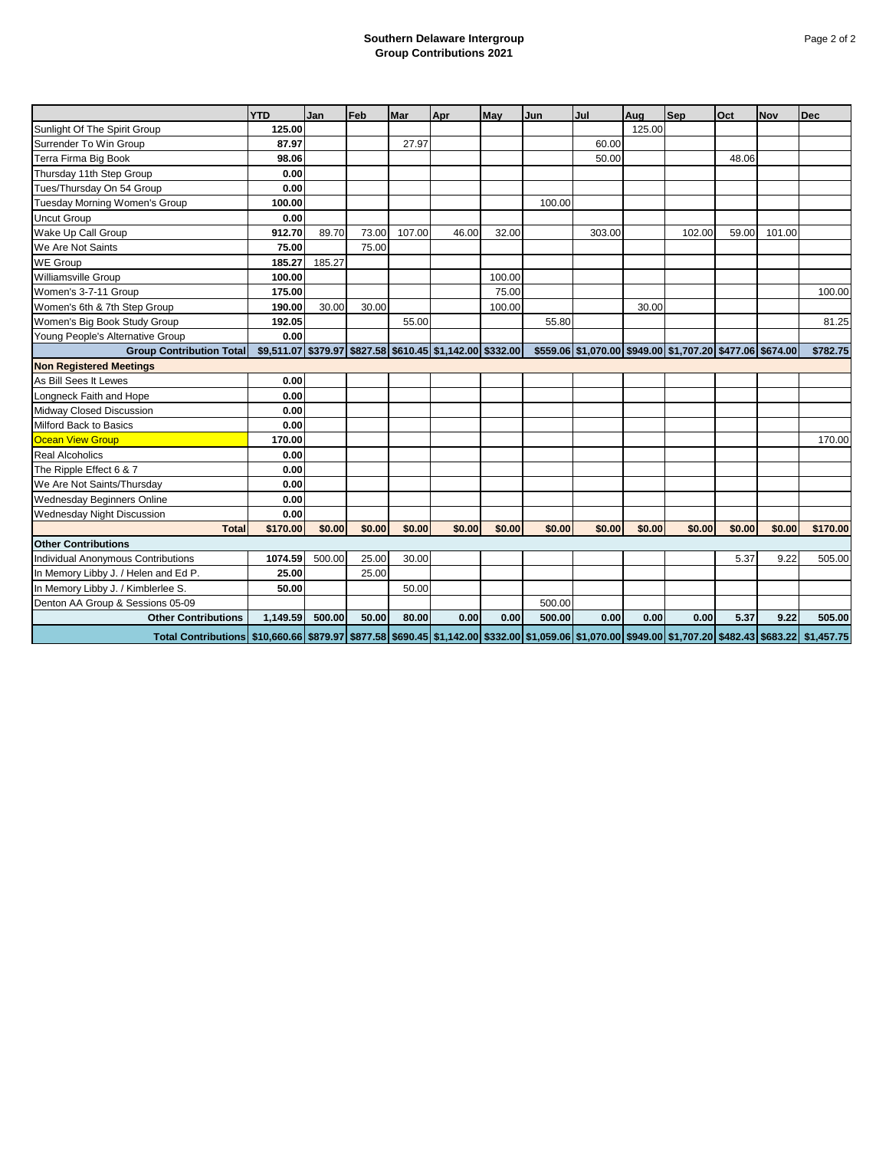## **Southern Delaware Intergroup Group Contributions 2021**

|                                                                                                                                                                                 | <b>YTD</b> | Jan    | Feb    | Mar    | Apr                                                       | May    | Jun    | Jul    | Aug    | <b>Sep</b>                                                | Oct    | <b>Nov</b> | <b>Dec</b> |
|---------------------------------------------------------------------------------------------------------------------------------------------------------------------------------|------------|--------|--------|--------|-----------------------------------------------------------|--------|--------|--------|--------|-----------------------------------------------------------|--------|------------|------------|
| Sunlight Of The Spirit Group                                                                                                                                                    | 125.00     |        |        |        |                                                           |        |        |        | 125.00 |                                                           |        |            |            |
| Surrender To Win Group                                                                                                                                                          | 87.97      |        |        | 27.97  |                                                           |        |        | 60.00  |        |                                                           |        |            |            |
| Terra Firma Big Book                                                                                                                                                            | 98.06      |        |        |        |                                                           |        |        | 50.00  |        |                                                           | 48.06  |            |            |
| Thursday 11th Step Group                                                                                                                                                        | 0.00       |        |        |        |                                                           |        |        |        |        |                                                           |        |            |            |
| Tues/Thursday On 54 Group                                                                                                                                                       | 0.00       |        |        |        |                                                           |        |        |        |        |                                                           |        |            |            |
| <b>Tuesday Morning Women's Group</b>                                                                                                                                            | 100.00     |        |        |        |                                                           |        | 100.00 |        |        |                                                           |        |            |            |
| <b>Uncut Group</b>                                                                                                                                                              | 0.00       |        |        |        |                                                           |        |        |        |        |                                                           |        |            |            |
| Wake Up Call Group                                                                                                                                                              | 912.70     | 89.70  | 73.00  | 107.00 | 46.00                                                     | 32.00  |        | 303.00 |        | 102.00                                                    | 59.00  | 101.00     |            |
| We Are Not Saints                                                                                                                                                               | 75.00      |        | 75.00  |        |                                                           |        |        |        |        |                                                           |        |            |            |
| <b>WE Group</b>                                                                                                                                                                 | 185.27     | 185.27 |        |        |                                                           |        |        |        |        |                                                           |        |            |            |
| <b>Williamsville Group</b>                                                                                                                                                      | 100.00     |        |        |        |                                                           | 100.00 |        |        |        |                                                           |        |            |            |
| Women's 3-7-11 Group                                                                                                                                                            | 175.00     |        |        |        |                                                           | 75.00  |        |        |        |                                                           |        |            | 100.00     |
| Women's 6th & 7th Step Group                                                                                                                                                    | 190.00     | 30.00  | 30.00  |        |                                                           | 100.00 |        |        | 30.00  |                                                           |        |            |            |
| Women's Big Book Study Group                                                                                                                                                    | 192.05     |        |        | 55.00  |                                                           |        | 55.80  |        |        |                                                           |        |            | 81.25      |
| Young People's Alternative Group                                                                                                                                                | 0.00       |        |        |        |                                                           |        |        |        |        |                                                           |        |            |            |
| <b>Group Contribution Total</b>                                                                                                                                                 |            |        |        |        | \$9,511.07 \$379.97 \$827.58 \$610.45 \$1,142.00 \$332.00 |        |        |        |        | \$559.06 \$1,070.00 \$949.00 \$1,707.20 \$477.06 \$674.00 |        |            | \$782.75   |
| <b>Non Registered Meetings</b>                                                                                                                                                  |            |        |        |        |                                                           |        |        |        |        |                                                           |        |            |            |
| As Bill Sees It Lewes                                                                                                                                                           | 0.00       |        |        |        |                                                           |        |        |        |        |                                                           |        |            |            |
| Longneck Faith and Hope                                                                                                                                                         | 0.00       |        |        |        |                                                           |        |        |        |        |                                                           |        |            |            |
| Midway Closed Discussion                                                                                                                                                        | 0.00       |        |        |        |                                                           |        |        |        |        |                                                           |        |            |            |
| Milford Back to Basics                                                                                                                                                          | 0.00       |        |        |        |                                                           |        |        |        |        |                                                           |        |            |            |
| <b>Ocean View Group</b>                                                                                                                                                         | 170.00     |        |        |        |                                                           |        |        |        |        |                                                           |        |            | 170.00     |
| <b>Real Alcoholics</b>                                                                                                                                                          | 0.00       |        |        |        |                                                           |        |        |        |        |                                                           |        |            |            |
| The Ripple Effect 6 & 7                                                                                                                                                         | 0.00       |        |        |        |                                                           |        |        |        |        |                                                           |        |            |            |
| We Are Not Saints/Thursday                                                                                                                                                      | 0.00       |        |        |        |                                                           |        |        |        |        |                                                           |        |            |            |
| Wednesday Beginners Online                                                                                                                                                      | 0.00       |        |        |        |                                                           |        |        |        |        |                                                           |        |            |            |
| Wednesday Night Discussion                                                                                                                                                      | 0.00       |        |        |        |                                                           |        |        |        |        |                                                           |        |            |            |
| <b>Total</b>                                                                                                                                                                    | \$170.00   | \$0.00 | \$0.00 | \$0.00 | \$0.00                                                    | \$0.00 | \$0.00 | \$0.00 | \$0.00 | \$0.00                                                    | \$0.00 | \$0.00     | \$170.00   |
| <b>Other Contributions</b>                                                                                                                                                      |            |        |        |        |                                                           |        |        |        |        |                                                           |        |            |            |
| Individual Anonymous Contributions                                                                                                                                              | 1074.59    | 500.00 | 25.00  | 30.00  |                                                           |        |        |        |        |                                                           | 5.37   | 9.22       | 505.00     |
| In Memory Libby J. / Helen and Ed P.                                                                                                                                            | 25.00      |        | 25.00  |        |                                                           |        |        |        |        |                                                           |        |            |            |
| In Memory Libby J. / Kimblerlee S.                                                                                                                                              | 50.00      |        |        | 50.00  |                                                           |        |        |        |        |                                                           |        |            |            |
| Denton AA Group & Sessions 05-09                                                                                                                                                |            |        |        |        |                                                           |        | 500.00 |        |        |                                                           |        |            |            |
| <b>Other Contributions</b>                                                                                                                                                      | 1,149.59   | 500.00 | 50.00  | 80.00  | 0.00                                                      | 0.00   | 500.00 | 0.00   | 0.00   | 0.00                                                      | 5.37   | 9.22       | 505.00     |
| Total Contributions   \$10,660.66   \$879.97   \$877.58   \$690.45   \$1,142.00   \$332.00   \$1,059.06   \$1,070.00   \$949.00   \$1,707.20   \$482.43   \$683.22   \$1,457.75 |            |        |        |        |                                                           |        |        |        |        |                                                           |        |            |            |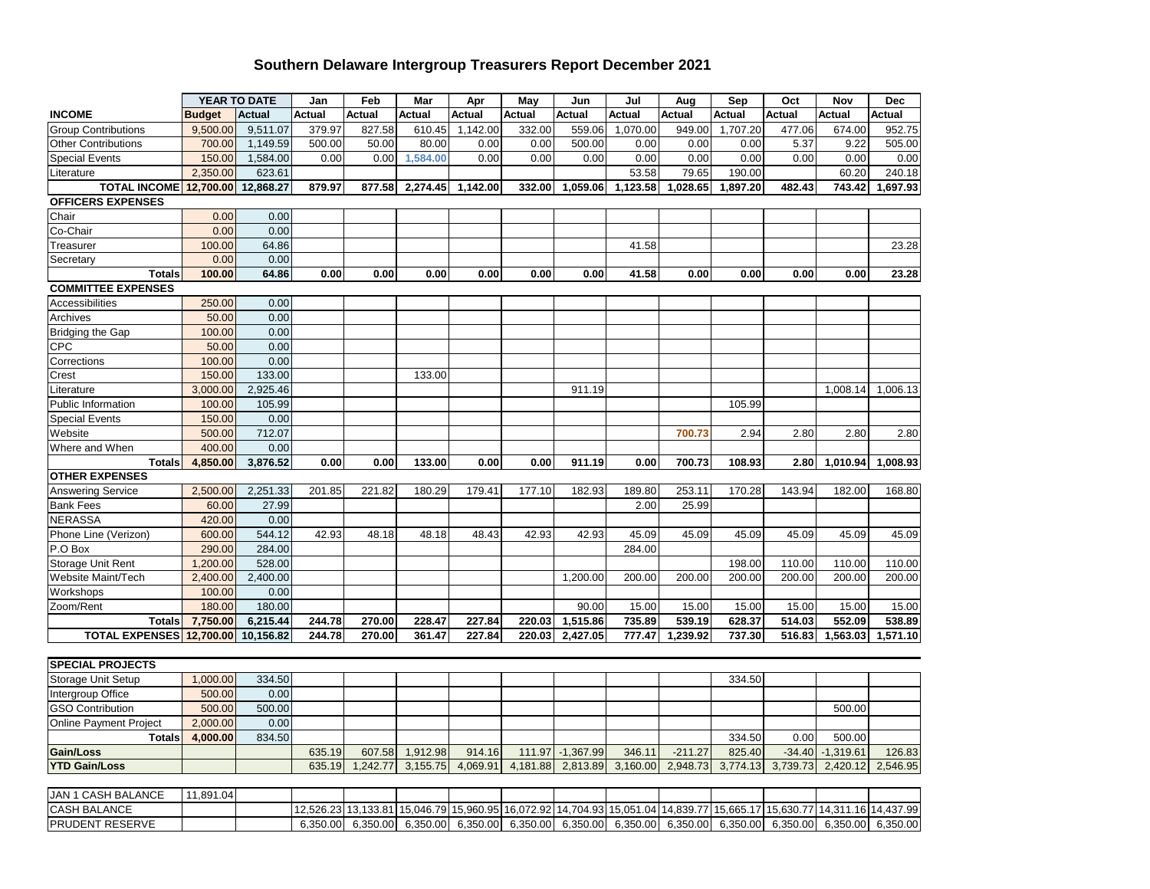## **Southern Delaware Intergroup Treasurers Report December 2021**

|                               |                    | YEAR TO DATE       | Jan    | Feb           | Mar      | Apr      | May           | Jun                  | Jul             | Aug             | Sep             | Oct             | Nov             | <b>Dec</b>      |
|-------------------------------|--------------------|--------------------|--------|---------------|----------|----------|---------------|----------------------|-----------------|-----------------|-----------------|-----------------|-----------------|-----------------|
| <b>INCOME</b>                 | <b>Budget</b>      | <b>Actual</b>      | Actual | <b>Actual</b> | Actual   | Actual   | <b>Actual</b> | Actual               | Actual          | Actual          | Actual          | Actual          | Actual          | Actual          |
| <b>Group Contributions</b>    | 9,500.00           | 9,511.07           | 379.97 | 827.58        | 610.45   | 1,142.00 | 332.00        | 559.06               | 1,070.00        | 949.00          | 1,707.20        | 477.06          | 674.00          | 952.75          |
| <b>Other Contributions</b>    | 700.00             | 1,149.59           | 500.00 | 50.00         | 80.00    | 0.00     | 0.00          | 500.00               | 0.00            | 0.00            | 0.00            | 5.37            | 9.22            | 505.00          |
| <b>Special Events</b>         | 150.00             | 1,584.00           | 0.00   | 0.00          | 1,584.00 | 0.00     | 0.00          | 0.00                 | 0.00            | 0.00            | 0.00            | 0.00            | 0.00            | 0.00            |
| Literature                    | 2,350.00           | 623.61             |        |               |          |          |               |                      | 53.58           | 79.65           | 190.00          |                 | 60.20           | 240.18          |
| <b>TOTAL INCOME</b>           | 12,700.00          | 12,868.27          | 879.97 | 877.58        | 2,274.45 | 1,142.00 | 332.00        | 1,059.06             | 1,123.58        | 1,028.65        | 1,897.20        | 482.43          | 743.42          | 1,697.93        |
| <b>OFFICERS EXPENSES</b>      |                    |                    |        |               |          |          |               |                      |                 |                 |                 |                 |                 |                 |
| Chair                         | 0.00               | 0.00               |        |               |          |          |               |                      |                 |                 |                 |                 |                 |                 |
| Co-Chair                      | 0.00               | 0.00               |        |               |          |          |               |                      |                 |                 |                 |                 |                 |                 |
| Treasurer                     | 100.00             | 64.86              |        |               |          |          |               |                      | 41.58           |                 |                 |                 |                 | 23.28           |
| Secretary                     | 0.00               | 0.00               |        |               |          |          |               |                      |                 |                 |                 |                 |                 |                 |
| <b>Totals</b>                 | 100.00             | 64.86              | 0.00   | 0.00          | 0.00     | 0.00     | 0.00          | 0.00                 | 41.58           | 0.00            | 0.00            | 0.00            | 0.00            | 23.28           |
| <b>COMMITTEE EXPENSES</b>     |                    |                    |        |               |          |          |               |                      |                 |                 |                 |                 |                 |                 |
| <b>Accessibilities</b>        | 250.00             | 0.00               |        |               |          |          |               |                      |                 |                 |                 |                 |                 |                 |
| Archives                      | 50.00              | 0.00               |        |               |          |          |               |                      |                 |                 |                 |                 |                 |                 |
| <b>Bridging the Gap</b>       | 100.00             | 0.00               |        |               |          |          |               |                      |                 |                 |                 |                 |                 |                 |
| <b>CPC</b>                    | 50.00              | 0.00               |        |               |          |          |               |                      |                 |                 |                 |                 |                 |                 |
| Corrections                   | 100.00             | 0.00               |        |               |          |          |               |                      |                 |                 |                 |                 |                 |                 |
| Crest                         | 150.00             | 133.00             |        |               | 133.00   |          |               |                      |                 |                 |                 |                 |                 |                 |
| Literature                    | 3,000.00           | 2,925.46           |        |               |          |          |               | 911.19               |                 |                 |                 |                 | 1,008.14        | 1,006.13        |
| Public Information            | 100.00             | 105.99             |        |               |          |          |               |                      |                 |                 | 105.99          |                 |                 |                 |
| <b>Special Events</b>         | 150.00             | 0.00               |        |               |          |          |               |                      |                 |                 |                 |                 |                 |                 |
| Website                       | 500.00             | 712.07             |        |               |          |          |               |                      |                 | 700.73          | 2.94            | 2.80            | 2.80            | 2.80            |
| Where and When                | 400.00             | 0.00               |        |               |          |          |               |                      |                 |                 |                 |                 |                 |                 |
| <b>Totals</b>                 | 4,850.00           | 3,876.52           | 0.00   | 0.00          | 133.00   | 0.00     | 0.00          | 911.19               | 0.00            | 700.73          | 108.93          | 2.80            | 1,010.94        | 1,008.93        |
| <b>OTHER EXPENSES</b>         |                    |                    |        |               |          |          |               |                      |                 |                 |                 |                 |                 |                 |
| <b>Answering Service</b>      | 2,500.00           | 2,251.33           | 201.85 | 221.82        | 180.29   | 179.41   | 177.10        | 182.93               | 189.80          | 253.11          | 170.28          | 143.94          | 182.00          | 168.80          |
| <b>Bank Fees</b>              | 60.00              | 27.99              |        |               |          |          |               |                      | 2.00            | 25.99           |                 |                 |                 |                 |
| <b>NERASSA</b>                | 420.00             | 0.00               |        |               |          |          |               |                      |                 |                 |                 |                 |                 |                 |
| Phone Line (Verizon)          | 600.00             | 544.12             | 42.93  | 48.18         | 48.18    | 48.43    | 42.93         | 42.93                | 45.09           | 45.09           | 45.09           | 45.09           | 45.09           | 45.09           |
| P.O Box                       | 290.00             | 284.00             |        |               |          |          |               |                      | 284.00          |                 |                 |                 |                 |                 |
| Storage Unit Rent             | 1,200.00           | 528.00             |        |               |          |          |               |                      |                 |                 | 198.00          | 110.00          | 110.00          | 110.00          |
| Website Maint/Tech            | 2,400.00           | 2,400.00           |        |               |          |          |               | 1,200.00             | 200.00          | 200.00          | 200.00          | 200.00          | 200.00          | 200.00          |
| Workshops                     | 100.00             | 0.00               |        |               |          |          |               |                      |                 |                 |                 |                 |                 |                 |
| Zoom/Rent<br><b>Totals</b>    | 180.00<br>7,750.00 | 180.00<br>6,215.44 | 244.78 | 270.00        | 228.47   | 227.84   | 220.03        | 90.00                | 15.00<br>735.89 | 15.00<br>539.19 | 15.00<br>628.37 | 15.00<br>514.03 | 15.00<br>552.09 | 15.00<br>538.89 |
| <b>TOTAL EXPENSES</b>         | 12,700.00          | 10,156.82          | 244.78 | 270.00        | 361.47   | 227.84   | 220.03        | 1,515.86<br>2,427.05 | 777.47          | 1,239.92        | 737.30          | 516.83          | 1,563.03        | 1,571.10        |
|                               |                    |                    |        |               |          |          |               |                      |                 |                 |                 |                 |                 |                 |
| <b>SPECIAL PROJECTS</b>       |                    |                    |        |               |          |          |               |                      |                 |                 |                 |                 |                 |                 |
| Storage Unit Setup            | 1,000.00           | 334.50             |        |               |          |          |               |                      |                 |                 | 334.50          |                 |                 |                 |
| Intergroup Office             | 500.00             | 0.00               |        |               |          |          |               |                      |                 |                 |                 |                 |                 |                 |
| <b>GSO Contribution</b>       | 500.00             | 500.00             |        |               |          |          |               |                      |                 |                 |                 |                 | 500.00          |                 |
| <b>Online Payment Project</b> | 2,000.00           | 0.00               |        |               |          |          |               |                      |                 |                 |                 |                 |                 |                 |
| <b>Totals</b>                 | 4,000.00           | 834.50             |        |               |          |          |               |                      |                 |                 | 334.50          | 0.00            | 500.00          |                 |
| Gain/Loss                     |                    |                    | 635.19 | 607.58        | 1,912.98 | 914.16   | 111.97        | $-1,367.99$          | 346.11          | $-211.27$       | 825.40          | $-34.40$        | $-1,319.61$     | 126.83          |
| <b>YTD Gain/Loss</b>          |                    |                    | 635.19 | 1,242.77      | 3,155.75 | 4,069.91 | 4,181.88      | 2,813.89             | 3,160.00        | 2,948.73        | 3,774.13        | 3,739.73        | 2,420.12        | 2,546.95        |
|                               |                    |                    |        |               |          |          |               |                      |                 |                 |                 |                 |                 |                 |
| <b>JAN 1 CASH BALANCE</b>     | 11,891.04          |                    |        |               |          |          |               |                      |                 |                 |                 |                 |                 |                 |

|                 | . |  |  |  |  |  |                                                                                                                         |  |
|-----------------|---|--|--|--|--|--|-------------------------------------------------------------------------------------------------------------------------|--|
| CASH BALANCE    |   |  |  |  |  |  | 12,526.23 13,133.81 15,046.79 15,960.95 16,072.92 14,704.93 15,051.04 14,839.77 15,665.17 15,630.77 14,311.16 14,437.99 |  |
| PRUDENT RESERVE |   |  |  |  |  |  | $6,350.00$ 6,350.00 6,350.00 6,350.00 6,350.00 6,350.00 6,350.00 6,350.00 6,350.00 6,350.00 6,350.00 6,350.00 6,350.00  |  |